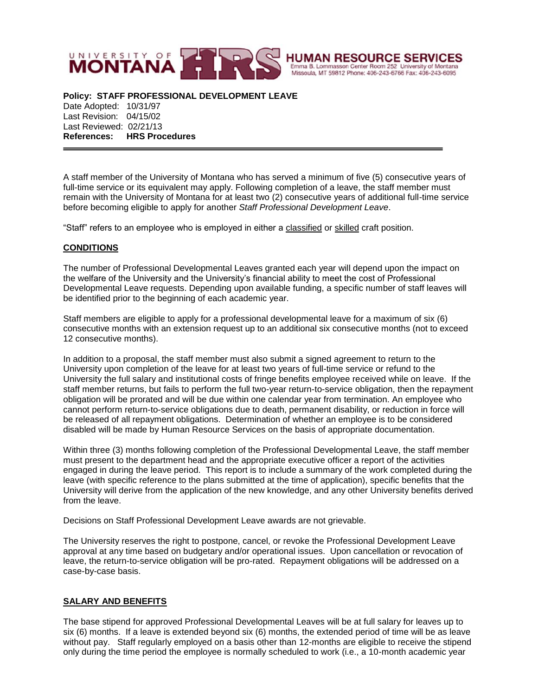

**Policy: STAFF PROFESSIONAL DEVELOPMENT LEAVE** 

Date Adopted: 10/31/97 Last Revision: 04/15/02 Last Reviewed: 02/21/13 **References: HRS Procedures**

A staff member of the University of Montana who has served a minimum of five (5) consecutive years of full-time service or its equivalent may apply. Following completion of a leave, the staff member must remain with the University of Montana for at least two (2) consecutive years of additional full-time service before becoming eligible to apply for another *Staff Professional Development Leave*.

"Staff" refers to an employee who is employed in either a classified or skilled craft position.

## **CONDITIONS**

The number of Professional Developmental Leaves granted each year will depend upon the impact on the welfare of the University and the University's financial ability to meet the cost of Professional Developmental Leave requests. Depending upon available funding, a specific number of staff leaves will be identified prior to the beginning of each academic year.

Staff members are eligible to apply for a professional developmental leave for a maximum of six (6) consecutive months with an extension request up to an additional six consecutive months (not to exceed 12 consecutive months).

In addition to a proposal, the staff member must also submit a signed agreement to return to the University upon completion of the leave for at least two years of full-time service or refund to the University the full salary and institutional costs of fringe benefits employee received while on leave. If the staff member returns, but fails to perform the full two-year return-to-service obligation, then the repayment obligation will be prorated and will be due within one calendar year from termination. An employee who cannot perform return-to-service obligations due to death, permanent disability, or reduction in force will be released of all repayment obligations. Determination of whether an employee is to be considered disabled will be made by Human Resource Services on the basis of appropriate documentation.

Within three (3) months following completion of the Professional Developmental Leave, the staff member must present to the department head and the appropriate executive officer a report of the activities engaged in during the leave period. This report is to include a summary of the work completed during the leave (with specific reference to the plans submitted at the time of application), specific benefits that the University will derive from the application of the new knowledge, and any other University benefits derived from the leave.

Decisions on Staff Professional Development Leave awards are not grievable.

The University reserves the right to postpone, cancel, or revoke the Professional Development Leave approval at any time based on budgetary and/or operational issues. Upon cancellation or revocation of leave, the return-to-service obligation will be pro-rated. Repayment obligations will be addressed on a case-by-case basis.

## **SALARY AND BENEFITS**

The base stipend for approved Professional Developmental Leaves will be at full salary for leaves up to six (6) months. If a leave is extended beyond six (6) months, the extended period of time will be as leave without pay. Staff regularly employed on a basis other than 12-months are eligible to receive the stipend only during the time period the employee is normally scheduled to work (i.e., a 10-month academic year